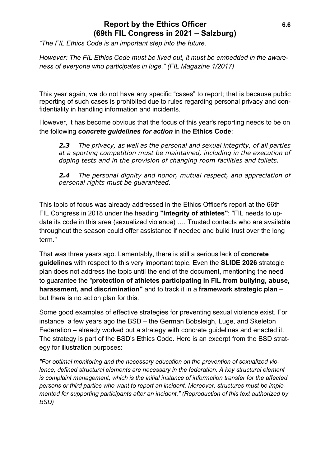## **Report by the Ethics Officer** 6.6 **(69th FIL Congress in 2021 – Salzburg)**

*"The FIL Ethics Code is an important step into the future.* 

*However: The FIL Ethics Code must be lived out, it must be embedded in the awareness of everyone who participates in luge." (FIL Magazine 1/2017)*

This year again, we do not have any specific "cases" to report; that is because public reporting of such cases is prohibited due to rules regarding personal privacy and confidentiality in handling information and incidents.

However, it has become obvious that the focus of this year's reporting needs to be on the following *concrete guidelines for action* in the **Ethics Code**:

*2.3 The privacy, as well as the personal and sexual integrity, of all parties at a sporting competition must be maintained, including in the execution of doping tests and in the provision of changing room facilities and toilets.*

*2.4 The personal dignity and honor, mutual respect, and appreciation of personal rights must be guaranteed.*

This topic of focus was already addressed in the Ethics Officer's report at the 66th FIL Congress in 2018 under the heading **"Integrity of athletes"**: "FIL needs to update its code in this area (sexualized violence) …. Trusted contacts who are available throughout the season could offer assistance if needed and build trust over the long term."

That was three years ago. Lamentably, there is still a serious lack of **concrete guidelines** with respect to this very important topic. Even the **SLIDE 2026** strategic plan does not address the topic until the end of the document, mentioning the need to guarantee the "**protection of athletes participating in FIL from bullying, abuse, harassment, and discrimination"** and to track it in a **framework strategic plan** – but there is no action plan for this.

Some good examples of effective strategies for preventing sexual violence exist. For instance, a few years ago the BSD – the German Bobsleigh, Luge, and Skeleton Federation – already worked out a strategy with concrete guidelines and enacted it. The strategy is part of the BSD's Ethics Code. Here is an excerpt from the BSD strategy for illustration purposes:

*"For optimal monitoring and the necessary education on the prevention of sexualized violence, defined structural elements are necessary in the federation. A key structural element is complaint management, which is the initial instance of information transfer for the affected persons or third parties who want to report an incident. Moreover, structures must be implemented for supporting participants after an incident." (Reproduction of this text authorized by BSD)*